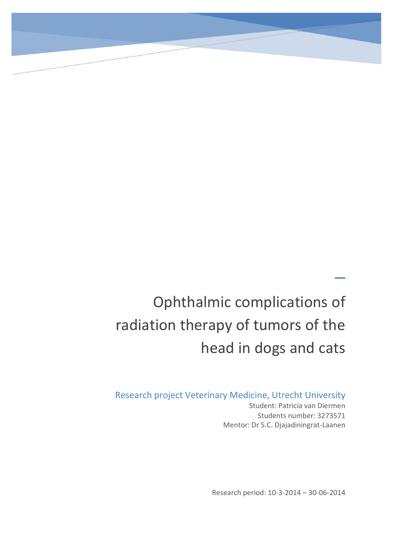# Ophthalmic complications of radiation therapy of tumors of the head in dogs and cats

Research project Veterinary Medicine, Utrecht University Student: Patricia van Diermen

Students number: 3273571 Mentor: Dr S.C. Djajadiningrat-Laanen

 $\overline{\phantom{0}}$ 

Research period: 10-3-2014 – 30-06-2014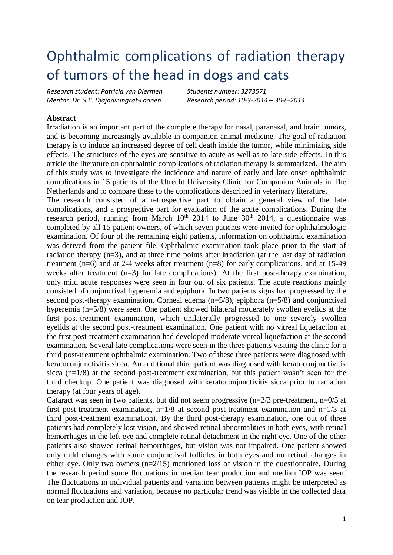# Ophthalmic complications of radiation therapy of tumors of the head in dogs and cats

*Research student: Patricia van Diermen Students number: 3273571*

*Mentor: Dr. S.C. Djajadiningrat-Laanen Research period: 10-3-2014 – 30-6-2014*

#### **Abstract**

Irradiation is an important part of the complete therapy for nasal, paranasal, and brain tumors, and is becoming increasingly available in companion animal medicine. The goal of radiation therapy is to induce an increased degree of cell death inside the tumor, while minimizing side effects. The structures of the eyes are sensitive to acute as well as to late side effects. In this article the literature on ophthalmic complications of radiation therapy is summarized. The aim of this study was to investigate the incidence and nature of early and late onset ophthalmic complications in 15 patients of the Utrecht University Clinic for Companion Animals in The Netherlands and to compare these to the complications described in veterinary literature.

The research consisted of a retrospective part to obtain a general view of the late complications, and a prospective part for evaluation of the acute complications. During the research period, running from March  $10<sup>th</sup>$  2014 to June  $30<sup>th</sup>$  2014, a questionnaire was completed by all 15 patient owners, of which seven patients were invited for ophthalmologic examination. Of four of the remaining eight patients, information on ophthalmic examination was derived from the patient file. Ophthalmic examination took place prior to the start of radiation therapy (n=3), and at three time points after irradiation (at the last day of radiation treatment (n=6) and at 2-4 weeks after treatment (n=8) for early complications, and at 15-49 weeks after treatment (n=3) for late complications). At the first post-therapy examination, only mild acute responses were seen in four out of six patients. The acute reactions mainly consisted of conjunctival hyperemia and epiphora. In two patients signs had progressed by the second post-therapy examination. Corneal edema (n=5/8), epiphora (n=5/8) and conjunctival hyperemia (n=5/8) were seen. One patient showed bilateral moderately swollen eyelids at the first post-treatment examination, which unilaterally progressed to one severely swollen eyelids at the second post-treatment examination. One patient with no vitreal liquefaction at the first post-treatment examination had developed moderate vitreal liquefaction at the second examination. Several late complications were seen in the three patients visiting the clinic for a third post-treatment ophthalmic examination. Two of these three patients were diagnosed with keratoconjunctivitis sicca. An additional third patient was diagnosed with keratoconjunctivitis sicca (n=1/8) at the second post-treatment examination, but this patient wasn't seen for the third checkup. One patient was diagnosed with keratoconjunctivitis sicca prior to radiation therapy (at four years of age).

Cataract was seen in two patients, but did not seem progressive (n=2/3 pre-treatment, n=0/5 at first post-treatment examination,  $n=1/8$  at second post-treatment examination and  $n=1/3$  at third post-treatment examination). By the third post-therapy examination, one out of three patients had completely lost vision, and showed retinal abnormalities in both eyes, with retinal hemorrhages in the left eye and complete retinal detachment in the right eye. One of the other patients also showed retinal hemorrhages, but vision was not impaired. One patient showed only mild changes with some conjunctival follicles in both eyes and no retinal changes in either eye. Only two owners (n=2/15) mentioned loss of vision in the questionnaire. During the research period some fluctuations in median tear production and median IOP was seen. The fluctuations in individual patients and variation between patients might be interpreted as normal fluctuations and variation, because no particular trend was visible in the collected data on tear production and IOP.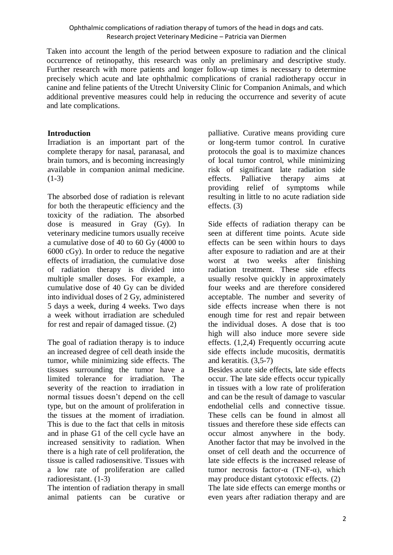Taken into account the length of the period between exposure to radiation and the clinical occurrence of retinopathy, this research was only an preliminary and descriptive study. Further research with more patients and longer follow-up times is necessary to determine precisely which acute and late ophthalmic complications of cranial radiotherapy occur in canine and feline patients of the Utrecht University Clinic for Companion Animals, and which additional preventive measures could help in reducing the occurrence and severity of acute and late complications.

#### **Introduction**

Irradiation is an important part of the complete therapy for nasal, paranasal, and brain tumors, and is becoming increasingly available in companion animal medicine.  $(1-3)$ 

The absorbed dose of radiation is relevant for both the therapeutic efficiency and the toxicity of the radiation. The absorbed dose is measured in Gray (Gy). In veterinary medicine tumors usually receive a cumulative dose of 40 to 60 Gy (4000 to 6000 cGy). In order to reduce the negative effects of irradiation, the cumulative dose of radiation therapy is divided into multiple smaller doses. For example, a cumulative dose of 40 Gy can be divided into individual doses of 2 Gy, administered 5 days a week, during 4 weeks. Two days a week without irradiation are scheduled for rest and repair of damaged tissue. (2)

The goal of radiation therapy is to induce an increased degree of cell death inside the tumor, while minimizing side effects. The tissues surrounding the tumor have a limited tolerance for irradiation. The severity of the reaction to irradiation in normal tissues doesn't depend on the cell type, but on the amount of proliferation in the tissues at the moment of irradiation. This is due to the fact that cells in mitosis and in phase G1 of the cell cycle have an increased sensitivity to radiation. When there is a high rate of cell proliferation, the tissue is called radiosensitive. Tissues with a low rate of proliferation are called radioresistant. (1-3)

The intention of radiation therapy in small animal patients can be curative or

palliative. Curative means providing cure or long-term tumor control. In curative protocols the goal is to maximize chances of local tumor control, while minimizing risk of significant late radiation side effects. Palliative therapy aims at providing relief of symptoms while resulting in little to no acute radiation side effects. (3)

Side effects of radiation therapy can be seen at different time points. Acute side effects can be seen within hours to days after exposure to radiation and are at their worst at two weeks after finishing radiation treatment. These side effects usually resolve quickly in approximately four weeks and are therefore considered acceptable. The number and severity of side effects increase when there is not enough time for rest and repair between the individual doses. A dose that is too high will also induce more severe side effects. (1,2,4) Frequently occurring acute side effects include mucositis, dermatitis and keratitis. (3,5-7)

Besides acute side effects, late side effects occur. The late side effects occur typically in tissues with a low rate of proliferation and can be the result of damage to vascular endothelial cells and connective tissue. These cells can be found in almost all tissues and therefore these side effects can occur almost anywhere in the body. Another factor that may be involved in the onset of cell death and the occurrence of late side effects is the increased release of tumor necrosis factor- $α$  (TNF- $α$ ), which may produce distant cytotoxic effects. (2)

The late side effects can emerge months or even years after radiation therapy and are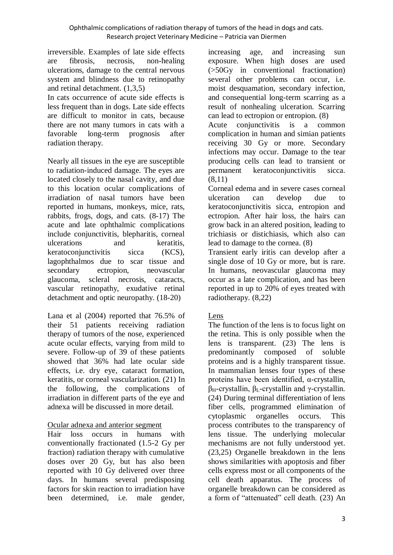irreversible. Examples of late side effects are fibrosis, necrosis, non-healing ulcerations, damage to the central nervous system and blindness due to retinopathy and retinal detachment. (1,3,5)

In cats occurrence of acute side effects is less frequent than in dogs. Late side effects are difficult to monitor in cats, because there are not many tumors in cats with a favorable long-term prognosis after radiation therapy.

Nearly all tissues in the eye are susceptible to radiation-induced damage. The eyes are located closely to the nasal cavity, and due to this location ocular complications of irradiation of nasal tumors have been reported in humans, monkeys, mice, rats, rabbits, frogs, dogs, and cats. (8-17) The acute and late ophthalmic complications include conjunctivitis, blepharitis, corneal ulcerations and keratitis, keratoconjunctivitis sicca (KCS), lagophthalmos due to scar tissue and secondary ectropion, neovascular glaucoma, scleral necrosis, cataracts, vascular retinopathy, exudative retinal detachment and optic neuropathy. (18-20)

Lana et al (2004) reported that 76.5% of their 51 patients receiving radiation therapy of tumors of the nose, experienced acute ocular effects, varying from mild to severe. Follow-up of 39 of these patients showed that 36% had late ocular side effects, i.e. dry eye, cataract formation, keratitis, or corneal vascularization. (21) In the following, the complications of irradiation in different parts of the eye and adnexa will be discussed in more detail.

Ocular adnexa and anterior segment

Hair loss occurs in humans with conventionally fractionated (1.5-2 Gy per fraction) radiation therapy with cumulative doses over 20 Gy, but has also been reported with 10 Gy delivered over three days. In humans several predisposing factors for skin reaction to irradiation have been determined, i.e. male gender,

increasing age, and increasing sun exposure. When high doses are used (>50Gy in conventional fractionation) several other problems can occur, i.e. moist desquamation, secondary infection, and consequential long-term scarring as a result of nonhealing ulceration. Scarring can lead to ectropion or entropion. (8)

Acute conjunctivitis is a common complication in human and simian patients receiving 30 Gy or more. Secondary infections may occur. Damage to the tear producing cells can lead to transient or permanent keratoconjunctivitis sicca. (8,11)

Corneal edema and in severe cases corneal ulceration can develop due to keratoconjunctivitis sicca, entropion and ectropion. After hair loss, the hairs can grow back in an altered position, leading to trichiasis or distichiasis, which also can lead to damage to the cornea. (8)

Transient early iritis can develop after a single dose of 10 Gy or more, but is rare. In humans, neovascular glaucoma may occur as a late complication, and has been reported in up to 20% of eyes treated with radiotherapy. (8,22)

# Lens

The function of the lens is to focus light on the retina. This is only possible when the lens is transparent. (23) The lens is predominantly composed of soluble proteins and is a highly transparent tissue. In mammalian lenses four types of these proteins have been identified, α-crystallin, βH-crystallin, βL-crystallin and γ-crystallin. (24) During terminal differentiation of lens fiber cells, programmed elimination of cytoplasmic organelles occurs. This process contributes to the transparency of lens tissue. The underlying molecular mechanisms are not fully understood yet. (23,25) Organelle breakdown in the lens shows similarities with apoptosis and fiber cells express most or all components of the cell death apparatus. The process of organelle breakdown can be considered as a form of "attenuated" cell death. (23) An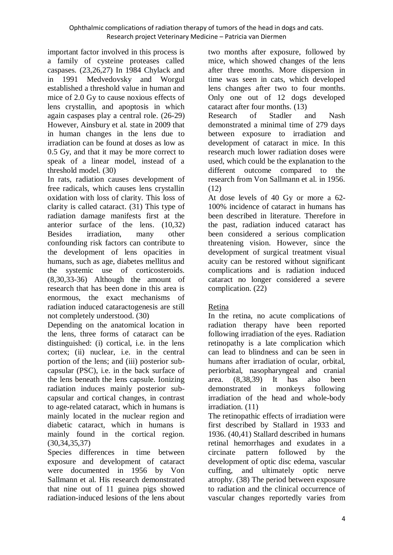important factor involved in this process is a family of cysteine proteases called caspases. (23,26,27) In 1984 Chylack and in 1991 Medvedovsky and Worgul established a threshold value in human and mice of 2.0 Gy to cause noxious effects of lens crystallin, and apoptosis in which again caspases play a central role. (26-29) However, Ainsbury et al. state in 2009 that in human changes in the lens due to irradiation can be found at doses as low as 0.5 Gy, and that it may be more correct to speak of a linear model, instead of a threshold model. (30)

In rats, radiation causes development of free radicals, which causes lens crystallin oxidation with loss of clarity. This loss of clarity is called cataract. (31) This type of radiation damage manifests first at the anterior surface of the lens. (10,32) Besides irradiation, many other confounding risk factors can contribute to the development of lens opacities in humans, such as age, diabetes mellitus and the systemic use of corticosteroids. (8,30,33-36) Although the amount of research that has been done in this area is enormous, the exact mechanisms of radiation induced cataractogenesis are still not completely understood. (30)

Depending on the anatomical location in the lens, three forms of cataract can be distinguished: (i) cortical, i.e. in the lens cortex; (ii) nuclear, i.e. in the central portion of the lens; and (iii) posterior subcapsular (PSC), i.e. in the back surface of the lens beneath the lens capsule. Ionizing radiation induces mainly posterior subcapsular and cortical changes, in contrast to age-related cataract, which in humans is mainly located in the nuclear region and diabetic cataract, which in humans is mainly found in the cortical region. (30,34,35,37)

Species differences in time between exposure and development of cataract were documented in 1956 by Von Sallmann et al. His research demonstrated that nine out of 11 guinea pigs showed radiation-induced lesions of the lens about

two months after exposure, followed by mice, which showed changes of the lens after three months. More dispersion in time was seen in cats, which developed lens changes after two to four months. Only one out of 12 dogs developed cataract after four months. (13)

Research of Stadler and Nash demonstrated a minimal time of 279 days between exposure to irradiation and development of cataract in mice. In this research much lower radiation doses were used, which could be the explanation to the different outcome compared to the research from Von Sallmann et al. in 1956. (12)

At dose levels of 40 Gy or more a 62- 100% incidence of cataract in humans has been described in literature. Therefore in the past, radiation induced cataract has been considered a serious complication threatening vision. However, since the development of surgical treatment visual acuity can be restored without significant complications and is radiation induced cataract no longer considered a severe complication. (22)

# Retina

In the retina, no acute complications of radiation therapy have been reported following irradiation of the eyes. Radiation retinopathy is a late complication which can lead to blindness and can be seen in humans after irradiation of ocular, orbital, periorbital, nasopharyngeal and cranial area. (8,38,39) It has also been demonstrated in monkeys following irradiation of the head and whole-body irradiation. (11)

The retinopathic effects of irradiation were first described by Stallard in 1933 and 1936. (40,41) Stallard described in humans retinal hemorrhages and exudates in a circinate pattern followed by the development of optic disc edema, vascular cuffing, and ultimately optic nerve atrophy. (38) The period between exposure to radiation and the clinical occurrence of vascular changes reportedly varies from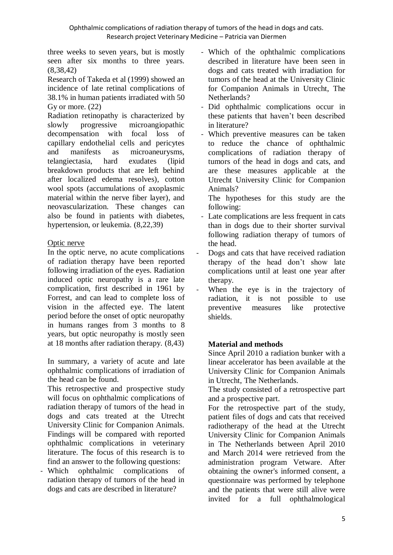three weeks to seven years, but is mostly seen after six months to three years. (8,38,42)

Research of Takeda et al (1999) showed an incidence of late retinal complications of 38.1% in human patients irradiated with 50 Gy or more. (22)

Radiation retinopathy is characterized by slowly progressive microangiopathic decompensation with focal loss of capillary endothelial cells and pericytes and manifests as microaneurysms, telangiectasia, hard exudates (lipid breakdown products that are left behind after localized edema resolves), cotton wool spots (accumulations of axoplasmic material within the nerve fiber layer), and neovascularization. These changes can also be found in patients with diabetes, hypertension, or leukemia. (8,22,39)

# Optic nerve

In the optic nerve, no acute complications of radiation therapy have been reported following irradiation of the eyes. Radiation induced optic neuropathy is a rare late complication, first described in 1961 by Forrest, and can lead to complete loss of vision in the affected eye. The latent period before the onset of optic neuropathy in humans ranges from 3 months to 8 years, but optic neuropathy is mostly seen at 18 months after radiation therapy. (8,43)

In summary, a variety of acute and late ophthalmic complications of irradiation of the head can be found.

This retrospective and prospective study will focus on ophthalmic complications of radiation therapy of tumors of the head in dogs and cats treated at the Utrecht University Clinic for Companion Animals. Findings will be compared with reported ophthalmic complications in veterinary literature. The focus of this research is to find an answer to the following questions:

Which ophthalmic complications of radiation therapy of tumors of the head in dogs and cats are described in literature?

- Which of the ophthalmic complications described in literature have been seen in dogs and cats treated with irradiation for tumors of the head at the University Clinic for Companion Animals in Utrecht, The Netherlands?
- Did ophthalmic complications occur in these patients that haven't been described in literature?
- Which preventive measures can be taken to reduce the chance of ophthalmic complications of radiation therapy of tumors of the head in dogs and cats, and are these measures applicable at the Utrecht University Clinic for Companion Animals?

The hypotheses for this study are the following:

- Late complications are less frequent in cats than in dogs due to their shorter survival following radiation therapy of tumors of the head.
- Dogs and cats that have received radiation therapy of the head don't show late complications until at least one year after therapy.
- When the eye is in the trajectory of radiation, it is not possible to use preventive measures like protective shields.

# **Material and methods**

Since April 2010 a radiation bunker with a linear accelerator has been available at the University Clinic for Companion Animals in Utrecht, The Netherlands.

The study consisted of a retrospective part and a prospective part.

For the retrospective part of the study, patient files of dogs and cats that received radiotherapy of the head at the Utrecht University Clinic for Companion Animals in The Netherlands between April 2010 and March 2014 were retrieved from the administration program Vetware. After obtaining the owner's informed consent, a questionnaire was performed by telephone and the patients that were still alive were invited for a full ophthalmological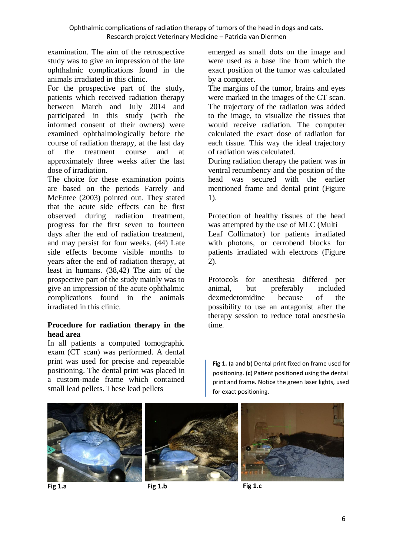examination. The aim of the retrospective study was to give an impression of the late ophthalmic complications found in the animals irradiated in this clinic.

For the prospective part of the study, patients which received radiation therapy between March and July 2014 and participated in this study (with the informed consent of their owners) were examined ophthalmologically before the course of radiation therapy, at the last day of the treatment course and at approximately three weeks after the last dose of irradiation.

The choice for these examination points are based on the periods Farrely and McEntee (2003) pointed out. They stated that the acute side effects can be first observed during radiation treatment, progress for the first seven to fourteen days after the end of radiation treatment, and may persist for four weeks. (44) Late side effects become visible months to years after the end of radiation therapy, at least in humans. (38,42) The aim of the prospective part of the study mainly was to give an impression of the acute ophthalmic complications found in the animals irradiated in this clinic.

#### **Procedure for radiation therapy in the head area**

In all patients a computed tomographic exam (CT scan) was performed. A dental print was used for precise and repeatable positioning. The dental print was placed in a custom-made frame which contained small lead pellets. These lead pellets

emerged as small dots on the image and were used as a base line from which the exact position of the tumor was calculated by a computer.

The margins of the tumor, brains and eyes were marked in the images of the CT scan. The trajectory of the radiation was added to the image, to visualize the tissues that would receive radiation. The computer calculated the exact dose of radiation for each tissue. This way the ideal trajectory of radiation was calculated.

During radiation therapy the patient was in ventral recumbency and the position of the head was secured with the earlier mentioned frame and dental print (Figure 1).

Protection of healthy tissues of the head was attempted by the use of MLC (Multi Leaf Collimator) for patients irradiated with photons, or cerrobend blocks for patients irradiated with electrons (Figure 2).

Protocols for anesthesia differed per animal, but preferably included dexmedetomidine because of the possibility to use an antagonist after the therapy session to reduce total anesthesia time.

**Fig 1.** (**a** and **b**) Dental print fixed on frame used for positioning. (**c**) Patient positioned using the dental print and frame. Notice the green laser lights, used for exact positioning.





**Fig 1.a Fig 1.b**



 **Fig 1.c**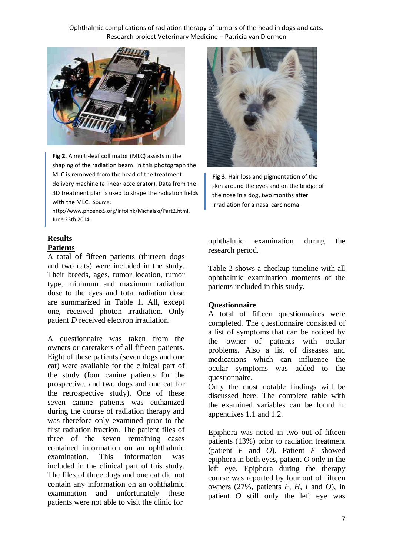

 shaping of the radiation beam. In this photograph the **Fig 2.** A multi-leaf collimator (MLC) assists in the MLC is removed from the head of the treatment delivery machine (a linear accelerator). Data from the 3D treatment plan is used to shape the radiation fields with the MLC. Source:

http://www.phoenix5.org/Infolink/Michalski/Part2.html, June 23th 2014.

# **Results Patients**

A total of fifteen patients (thirteen dogs and two cats) were included in the study. Their breeds, ages, tumor location, tumor type, minimum and maximum radiation dose to the eyes and total radiation dose are summarized in Table 1. All, except one, received photon irradiation. Only patient *D* received electron irradiation.

A questionnaire was taken from the owners or caretakers of all fifteen patients. Eight of these patients (seven dogs and one cat) were available for the clinical part of the study (four canine patients for the prospective, and two dogs and one cat for the retrospective study). One of these seven canine patients was euthanized during the course of radiation therapy and was therefore only examined prior to the first radiation fraction. The patient files of three of the seven remaining cases contained information on an ophthalmic examination. This information was included in the clinical part of this study. The files of three dogs and one cat did not contain any information on an ophthalmic examination and unfortunately these patients were not able to visit the clinic for



**Fig 3**. Hair loss and pigmentation of the skin around the eyes and on the bridge of the nose in a dog, two months after irradiation for a nasal carcinoma.

ophthalmic examination during the research period.

Table 2 shows a checkup timeline with all ophthalmic examination moments of the patients included in this study.

#### **Questionnaire**

A total of fifteen questionnaires were completed. The questionnaire consisted of a list of symptoms that can be noticed by the owner of patients with ocular problems. Also a list of diseases and medications which can influence the ocular symptoms was added to the questionnaire.

Only the most notable findings will be discussed here. The complete table with the examined variables can be found in appendixes 1.1 and 1.2.

Epiphora was noted in two out of fifteen patients (13%) prior to radiation treatment (patient *F* and *O*). Patient *F* showed epiphora in both eyes, patient *O* only in the left eye. Epiphora during the therapy course was reported by four out of fifteen owners (27%, patients *F, H, I* and *O*), in patient *O* still only the left eye was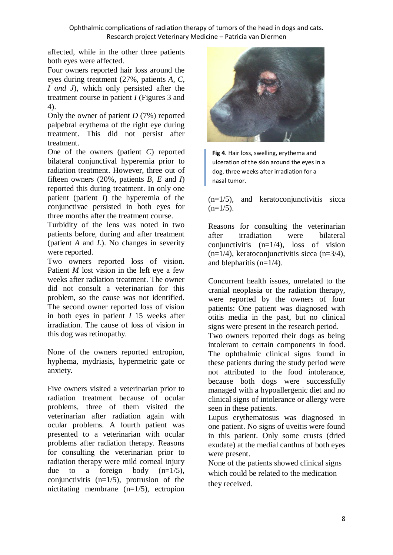affected, while in the other three patients both eyes were affected.

Four owners reported hair loss around the eyes during treatment (27%, patients *A, C, I and J*), which only persisted after the treatment course in patient *I* (Figures 3 and 4).

Only the owner of patient *D* (7%) reported palpebral erythema of the right eye during treatment. This did not persist after treatment.

One of the owners (patient *C*) reported bilateral conjunctival hyperemia prior to radiation treatment. However, three out of fifteen owners (20%, patients *B, E* and *I*) reported this during treatment. In only one patient (patient *I*) the hyperemia of the conjunctivae persisted in both eyes for three months after the treatment course.

Turbidity of the lens was noted in two patients before, during and after treatment (patient *A* and *L*). No changes in severity were reported.

Two owners reported loss of vision. Patient *M* lost vision in the left eye a few weeks after radiation treatment. The owner did not consult a veterinarian for this problem, so the cause was not identified. The second owner reported loss of vision in both eyes in patient *I* 15 weeks after irradiation. The cause of loss of vision in this dog was retinopathy.

None of the owners reported entropion, hyphema, mydriasis, hypermetric gate or anxiety.

Five owners visited a veterinarian prior to radiation treatment because of ocular problems, three of them visited the veterinarian after radiation again with ocular problems. A fourth patient was presented to a veterinarian with ocular problems after radiation therapy. Reasons for consulting the veterinarian prior to radiation therapy were mild corneal injury due to a foreign body  $(n=1/5)$ , conjunctivitis  $(n=1/5)$ , protrusion of the nictitating membrane (n=1/5), ectropion



**Fig 4**. Hair loss, swelling, erythema and ulceration of the skin around the eyes in a dog, three weeks after irradiation for a nasal tumor.

 $(n=1/5)$ , and keratoconjunctivitis sicca  $(n=1/5)$ .

Reasons for consulting the veterinarian after irradiation were bilateral conjunctivitis  $(n=1/4)$ , loss of vision (n=1/4), keratoconjunctivitis sicca (n=3/4), and blepharitis  $(n=1/4)$ .

Concurrent health issues, unrelated to the cranial neoplasia or the radiation therapy, were reported by the owners of four patients: One patient was diagnosed with otitis media in the past, but no clinical signs were present in the research period.

Two owners reported their dogs as being intolerant to certain components in food. The ophthalmic clinical signs found in these patients during the study period were not attributed to the food intolerance, because both dogs were successfully managed with a hypoallergenic diet and no clinical signs of intolerance or allergy were seen in these patients.

Lupus erythematosus was diagnosed in one patient. No signs of uveitis were found in this patient. Only some crusts (dried exudate) at the medial canthus of both eyes were present.

None of the patients showed clinical signs which could be related to the medication they received.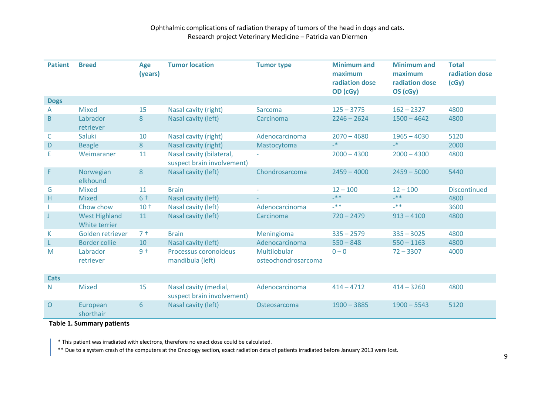| <b>Patient</b> | <b>Breed</b>                          | Age<br>(years)  | <b>Tumor location</b>                                  | <b>Tumor type</b>                   | <b>Minimum and</b><br>maximum<br>radiation dose<br>OD (cGy) | <b>Minimum and</b><br>maximum<br>radiation dose<br>OS (cGy) | <b>Total</b><br>radiation dose<br>(cGy) |
|----------------|---------------------------------------|-----------------|--------------------------------------------------------|-------------------------------------|-------------------------------------------------------------|-------------------------------------------------------------|-----------------------------------------|
| <b>Dogs</b>    |                                       |                 |                                                        |                                     |                                                             |                                                             |                                         |
| A              | <b>Mixed</b>                          | 15              | Nasal cavity (right)                                   | Sarcoma                             | $125 - 3775$                                                | $162 - 2327$                                                | 4800                                    |
| B              | Labrador<br>retriever                 | 8               | Nasal cavity (left)                                    | Carcinoma                           | $2246 - 2624$                                               | $1500 - 4642$                                               | 4800                                    |
| C              | <b>Saluki</b>                         | 10              | Nasal cavity (right)                                   | Adenocarcinoma                      | $2070 - 4680$                                               | $1965 - 4030$                                               | 5120                                    |
| D              | <b>Beagle</b>                         | 8               | Nasal cavity (right)                                   | Mastocytoma                         | $\mathbf{R}_{-}$                                            | $\mathbf{R}^*$                                              | 2000                                    |
| E              | Weimaraner                            | 11              | Nasal cavity (bilateral,<br>suspect brain involvement) |                                     | $2000 - 4300$                                               | $2000 - 4300$                                               | 4800                                    |
| F.             | Norwegian<br>elkhound                 | 8               | Nasal cavity (left)                                    | Chondrosarcoma                      | $2459 - 4000$                                               | $2459 - 5000$                                               | 5440                                    |
| G              | <b>Mixed</b>                          | 11              | <b>Brain</b>                                           |                                     | $12 - 100$                                                  | $12 - 100$                                                  | <b>Discontinued</b>                     |
| H.             | <b>Mixed</b>                          | $6+$            | Nasal cavity (left)                                    |                                     | $-**$                                                       | $-**$                                                       | 4800                                    |
|                | Chow chow                             | 10 <sup>†</sup> | Nasal cavity (left)                                    | Adenocarcinoma                      | $-**$                                                       | $-**$                                                       | 3600                                    |
| J              | <b>West Highland</b><br>White terrier | 11              | Nasal cavity (left)                                    | Carcinoma                           | $720 - 2479$                                                | $913 - 4100$                                                | 4800                                    |
| К              | Golden retriever                      | 7 <sup>†</sup>  | <b>Brain</b>                                           | Meningioma                          | $335 - 2579$                                                | $335 - 3025$                                                | 4800                                    |
|                | <b>Border collie</b>                  | 10              | Nasal cavity (left)                                    | Adenocarcinoma                      | $550 - 848$                                                 | $550 - 1163$                                                | 4800                                    |
| M              | Labrador<br>retriever                 | $9+$            | Processus coronoideus<br>mandibula (left)              | Multilobular<br>osteochondrosarcoma | $0 - 0$                                                     | $72 - 3307$                                                 | 4000                                    |
| <b>Cats</b>    |                                       |                 |                                                        |                                     |                                                             |                                                             |                                         |
| N              | <b>Mixed</b>                          | 15              | Nasal cavity (medial,<br>suspect brain involvement)    | Adenocarcinoma                      | $414 - 4712$                                                | $414 - 3260$                                                | 4800                                    |
| $\mathsf{O}$   | European<br>shorthair                 | 6               | Nasal cavity (left)                                    | Osteosarcoma                        | $1900 - 3885$                                               | $1900 - 5543$                                               | 5120                                    |

#### **Table 1. Summary patients**

\* This patient was irradiated with electrons, therefore no exact dose could be calculated.

\*\* Due to a system crash of the computers at the Oncology section, exact radiation data of patients irradiated before January 2013 were lost.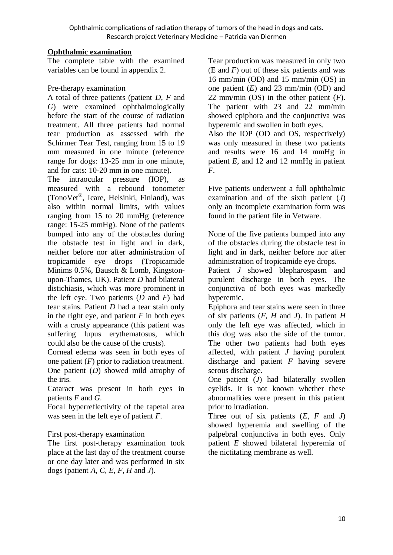#### **Ophthalmic examination**

The complete table with the examined variables can be found in appendix 2.

# Pre-therapy examination

A total of three patients (patient *D*, *F* and *G*) were examined ophthalmologically before the start of the course of radiation treatment. All three patients had normal tear production as assessed with the Schirmer Tear Test, ranging from 15 to 19 mm measured in one minute (reference range for dogs: 13-25 mm in one minute, and for cats: 10-20 mm in one minute).

The intraocular pressure (IOP), as measured with a rebound tonometer (TonoVet® , Icare, Helsinki, Finland), was also within normal limits, with values ranging from 15 to 20 mmHg (reference range: 15-25 mmHg). None of the patients bumped into any of the obstacles during the obstacle test in light and in dark, neither before nor after administration of tropicamide eye drops (Tropicamide Minims 0.5%, Bausch & Lomb, Kingstonupon-Thames, UK). Patient *D* had bilateral distichiasis, which was more prominent in the left eye. Two patients (*D* and *F*) had tear stains. Patient *D* had a tear stain only in the right eye, and patient  $F$  in both eyes with a crusty appearance (this patient was suffering lupus erythematosus, which could also be the cause of the crusts).

Corneal edema was seen in both eyes of one patient (*F*) prior to radiation treatment. One patient (*D*) showed mild atrophy of the iris.

Cataract was present in both eyes in patients *F* and *G*.

Focal hyperreflectivity of the tapetal area was seen in the left eye of patient *F*.

#### First post-therapy examination

The first post-therapy examination took place at the last day of the treatment course or one day later and was performed in six dogs (patient *A, C, E, F, H* and *J*).

Tear production was measured in only two (E and *F*) out of these six patients and was 16 mm/min (OD) and 15 mm/min (OS) in one patient (*E*) and 23 mm/min (OD) and 22 mm/min (OS) in the other patient (*F*). The patient with 23 and 22 mm/min showed epiphora and the conjunctiva was hyperemic and swollen in both eyes.

Also the IOP (OD and OS, respectively) was only measured in these two patients and results were 16 and 14 mmHg in patient *E*, and 12 and 12 mmHg in patient *F*.

Five patients underwent a full ophthalmic examination and of the sixth patient (*J*) only an incomplete examination form was found in the patient file in Vetware.

None of the five patients bumped into any of the obstacles during the obstacle test in light and in dark, neither before nor after administration of tropicamide eye drops.

Patient *J* showed blepharospasm and purulent discharge in both eyes. The conjunctiva of both eyes was markedly hyperemic.

Epiphora and tear stains were seen in three of six patients (*F, H* and *J*). In patient *H* only the left eye was affected, which in this dog was also the side of the tumor. The other two patients had both eyes affected, with patient *J* having purulent discharge and patient *F* having severe serous discharge.

One patient (*J*) had bilaterally swollen eyelids. It is not known whether these abnormalities were present in this patient prior to irradiation.

Three out of six patients (*E*, *F* and *J*) showed hyperemia and swelling of the palpebral conjunctiva in both eyes. Only patient *E* showed bilateral hyperemia of the nictitating membrane as well.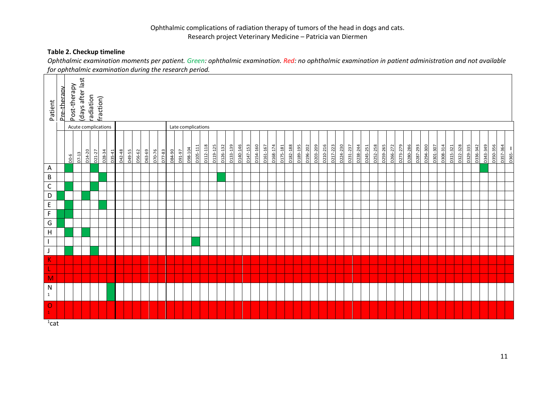#### **Table 2. Checkup timeline**

*Ophthalmic examination moments per patient. Green: ophthalmic examination. Red: no ophthalmic examination in patient administration and not available for ophthalmic examination during the research period.*

|                            |             |              |                     |                     |            |                    |          |        |        |        |        |        |        | jor operation the examination daring the research periodi |               |         |          |          |          |          |          |          |                      |          |          |          |          |          |          |          |          |          |          |          |          |          |          |          |          |          |          |                      |          |          |          |          |          |          |          |          |          |          |       |
|----------------------------|-------------|--------------|---------------------|---------------------|------------|--------------------|----------|--------|--------|--------|--------|--------|--------|-----------------------------------------------------------|---------------|---------|----------|----------|----------|----------|----------|----------|----------------------|----------|----------|----------|----------|----------|----------|----------|----------|----------|----------|----------|----------|----------|----------|----------|----------|----------|----------|----------------------|----------|----------|----------|----------|----------|----------|----------|----------|----------|----------|-------|
| Patient                    | Pre-therapy | Post-therapy | days after last     | radiation           | fraction)  |                    |          |        |        |        |        |        |        |                                                           |               |         |          |          |          |          |          |          |                      |          |          |          |          |          |          |          |          |          |          |          |          |          |          |          |          |          |          |                      |          |          |          |          |          |          |          |          |          |          |       |
|                            |             |              | Acute complications |                     |            |                    |          |        |        |        |        |        |        | Late complications                                        |               |         |          |          |          |          |          |          |                      |          |          |          |          |          |          |          |          |          |          |          |          |          |          |          |          |          |          |                      |          |          |          |          |          |          |          |          |          |          |       |
|                            |             | $D0-6$       | $D7-13$             | D <sub>14</sub> -20 | $D21 - 27$ | D <sub>28-34</sub> | $D35-41$ | D42-48 | D49-55 | D56-62 | D63-69 | D70-76 | D77-83 | 084-90                                                    | <b>16-160</b> | D98-104 | D105-111 | D112-118 | D119-125 | D126-132 | D133-139 | D140-146 | D <sub>147-153</sub> | D154-160 | D161-167 | D168-174 | D175-181 | D182-188 | D189-195 | D196-202 | D203-209 | D210-216 | D217-223 | D224-230 | D231-237 | D238-244 | D245-251 | D252-258 | D259-265 | D266-272 | D273-279 | D280-286<br>0287-293 | D294-300 | D301-307 | D308-314 | D315-321 | D322-328 | D329-335 | D336-342 | D343-349 | D350-356 | D357-364 | D365- |
| Α                          |             |              |                     |                     |            |                    |          |        |        |        |        |        |        |                                                           |               |         |          |          |          |          |          |          |                      |          |          |          |          |          |          |          |          |          |          |          |          |          |          |          |          |          |          |                      |          |          |          |          |          |          |          |          |          |          |       |
| B                          |             |              |                     |                     |            |                    |          |        |        |        |        |        |        |                                                           |               |         |          |          |          |          |          |          |                      |          |          |          |          |          |          |          |          |          |          |          |          |          |          |          |          |          |          |                      |          |          |          |          |          |          |          |          |          |          |       |
| $\mathsf C$                |             |              |                     |                     |            |                    |          |        |        |        |        |        |        |                                                           |               |         |          |          |          |          |          |          |                      |          |          |          |          |          |          |          |          |          |          |          |          |          |          |          |          |          |          |                      |          |          |          |          |          |          |          |          |          |          |       |
| D                          |             |              |                     |                     |            |                    |          |        |        |        |        |        |        |                                                           |               |         |          |          |          |          |          |          |                      |          |          |          |          |          |          |          |          |          |          |          |          |          |          |          |          |          |          |                      |          |          |          |          |          |          |          |          |          |          |       |
| E                          |             |              |                     |                     |            |                    |          |        |        |        |        |        |        |                                                           |               |         |          |          |          |          |          |          |                      |          |          |          |          |          |          |          |          |          |          |          |          |          |          |          |          |          |          |                      |          |          |          |          |          |          |          |          |          |          |       |
| F                          |             |              |                     |                     |            |                    |          |        |        |        |        |        |        |                                                           |               |         |          |          |          |          |          |          |                      |          |          |          |          |          |          |          |          |          |          |          |          |          |          |          |          |          |          |                      |          |          |          |          |          |          |          |          |          |          |       |
| G                          |             |              |                     |                     |            |                    |          |        |        |        |        |        |        |                                                           |               |         |          |          |          |          |          |          |                      |          |          |          |          |          |          |          |          |          |          |          |          |          |          |          |          |          |          |                      |          |          |          |          |          |          |          |          |          |          |       |
| H                          |             |              |                     |                     |            |                    |          |        |        |        |        |        |        |                                                           |               |         |          |          |          |          |          |          |                      |          |          |          |          |          |          |          |          |          |          |          |          |          |          |          |          |          |          |                      |          |          |          |          |          |          |          |          |          |          |       |
|                            |             |              |                     |                     |            |                    |          |        |        |        |        |        |        |                                                           |               |         |          |          |          |          |          |          |                      |          |          |          |          |          |          |          |          |          |          |          |          |          |          |          |          |          |          |                      |          |          |          |          |          |          |          |          |          |          |       |
| J                          |             |              |                     |                     |            |                    |          |        |        |        |        |        |        |                                                           |               |         |          |          |          |          |          |          |                      |          |          |          |          |          |          |          |          |          |          |          |          |          |          |          |          |          |          |                      |          |          |          |          |          |          |          |          |          |          |       |
| $\overline{\mathbf{K}}$    |             |              |                     |                     |            |                    |          |        |        |        |        |        |        |                                                           |               |         |          |          |          |          |          |          |                      |          |          |          |          |          |          |          |          |          |          |          |          |          |          |          |          |          |          |                      |          |          |          |          |          |          |          |          |          |          |       |
| L                          |             |              |                     |                     |            |                    |          |        |        |        |        |        |        |                                                           |               |         |          |          |          |          |          |          |                      |          |          |          |          |          |          |          |          |          |          |          |          |          |          |          |          |          |          |                      |          |          |          |          |          |          |          |          |          |          |       |
| M                          |             |              |                     |                     |            |                    |          |        |        |        |        |        |        |                                                           |               |         |          |          |          |          |          |          |                      |          |          |          |          |          |          |          |          |          |          |          |          |          |          |          |          |          |          |                      |          |          |          |          |          |          |          |          |          |          |       |
| N                          |             |              |                     |                     |            |                    |          |        |        |        |        |        |        |                                                           |               |         |          |          |          |          |          |          |                      |          |          |          |          |          |          |          |          |          |          |          |          |          |          |          |          |          |          |                      |          |          |          |          |          |          |          |          |          |          |       |
| $1\,$                      |             |              |                     |                     |            |                    |          |        |        |        |        |        |        |                                                           |               |         |          |          |          |          |          |          |                      |          |          |          |          |          |          |          |          |          |          |          |          |          |          |          |          |          |          |                      |          |          |          |          |          |          |          |          |          |          |       |
| $\mathbf O$<br>$\mathbf 1$ |             |              |                     |                     |            |                    |          |        |        |        |        |        |        |                                                           |               |         |          |          |          |          |          |          |                      |          |          |          |          |          |          |          |          |          |          |          |          |          |          |          |          |          |          |                      |          |          |          |          |          |          |          |          |          |          |       |
| $1$ cat                    |             |              |                     |                     |            |                    |          |        |        |        |        |        |        |                                                           |               |         |          |          |          |          |          |          |                      |          |          |          |          |          |          |          |          |          |          |          |          |          |          |          |          |          |          |                      |          |          |          |          |          |          |          |          |          |          |       |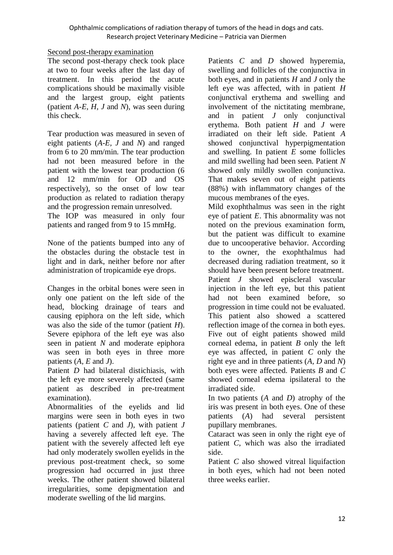#### Second post-therapy examination

The second post-therapy check took place at two to four weeks after the last day of treatment. In this period the acute complications should be maximally visible and the largest group, eight patients (patient *A-E, H, J* and *N*), was seen during this check.

Tear production was measured in seven of eight patients (*A-E, J* and *N*) and ranged from 6 to 20 mm/min. The tear production had not been measured before in the patient with the lowest tear production (6 and 12 mm/min for OD and OS respectively), so the onset of low tear production as related to radiation therapy and the progression remain unresolved. The IOP was measured in only four

patients and ranged from 9 to 15 mmHg.

None of the patients bumped into any of the obstacles during the obstacle test in light and in dark, neither before nor after administration of tropicamide eye drops.

Changes in the orbital bones were seen in only one patient on the left side of the head, blocking drainage of tears and causing epiphora on the left side, which was also the side of the tumor (patient *H*). Severe epiphora of the left eye was also seen in patient *N* and moderate epiphora was seen in both eyes in three more patients (*A, E* and *J*).

Patient *D* had bilateral distichiasis, with the left eye more severely affected (same patient as described in pre-treatment examination).

Abnormalities of the eyelids and lid margins were seen in both eyes in two patients (patient *C* and *J*), with patient *J* having a severely affected left eye. The patient with the severely affected left eye had only moderately swollen eyelids in the previous post-treatment check, so some progression had occurred in just three weeks. The other patient showed bilateral irregularities, some depigmentation and moderate swelling of the lid margins.

Patients *C* and *D* showed hyperemia, swelling and follicles of the conjunctiva in both eyes, and in patients *H* and *J* only the left eye was affected, with in patient *H* conjunctival erythema and swelling and involvement of the nictitating membrane, and in patient *J* only conjunctival erythema. Both patient *H* and *J* were irradiated on their left side. Patient *A*  showed conjunctival hyperpigmentation and swelling. In patient *E* some follicles and mild swelling had been seen. Patient *N* showed only mildly swollen conjunctiva. That makes seven out of eight patients (88%) with inflammatory changes of the mucous membranes of the eyes.

Mild exophthalmus was seen in the right eye of patient *E*. This abnormality was not noted on the previous examination form, but the patient was difficult to examine due to uncooperative behavior. According to the owner, the exophthalmus had decreased during radiation treatment, so it should have been present before treatment.

Patient *J* showed episcleral vascular injection in the left eye, but this patient had not been examined before, so progression in time could not be evaluated. This patient also showed a scattered reflection image of the cornea in both eyes. Five out of eight patients showed mild corneal edema, in patient *B* only the left eye was affected, in patient *C* only the right eye and in three patients (*A, D* and *N*) both eyes were affected. Patients *B* and *C*  showed corneal edema ipsilateral to the irradiated side.

In two patients (*A* and *D*) atrophy of the iris was present in both eyes. One of these patients (*A*) had several persistent pupillary membranes.

Cataract was seen in only the right eye of patient *C*, which was also the irradiated side.

Patient *C* also showed vitreal liquifaction in both eyes, which had not been noted three weeks earlier.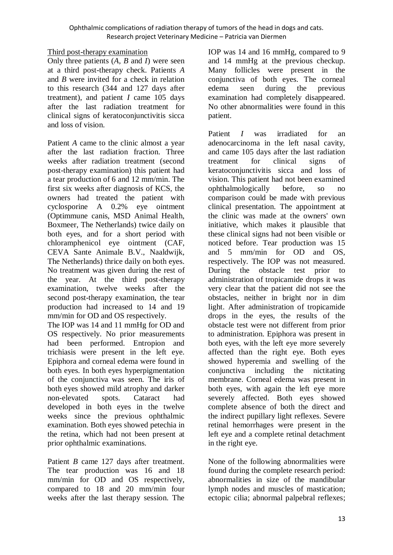#### Third post-therapy examination

Only three patients (*A, B* and *I*) were seen at a third post-therapy check. Patients *A*  and *B* were invited for a check in relation to this research (344 and 127 days after treatment), and patient *I* came 105 days after the last radiation treatment for clinical signs of keratoconjunctivitis sicca and loss of vision.

Patient *A* came to the clinic almost a year after the last radiation fraction. Three weeks after radiation treatment (second post-therapy examination) this patient had a tear production of 6 and 12 mm/min. The first six weeks after diagnosis of KCS, the owners had treated the patient with cyclosporine A 0.2% eye ointment (Optimmune canis, MSD Animal Health, Boxmeer, The Netherlands) twice daily on both eyes, and for a short period with chloramphenicol eye ointment (CAF, CEVA Sante Animale B.V., Naaldwijk, The Netherlands) thrice daily on both eyes. No treatment was given during the rest of the year. At the third post-therapy examination, twelve weeks after the second post-therapy examination, the tear production had increased to 14 and 19 mm/min for OD and OS respectively.

The IOP was 14 and 11 mmHg for OD and OS respectively. No prior measurements had been performed. Entropion and trichiasis were present in the left eye. Epiphora and corneal edema were found in both eyes. In both eyes hyperpigmentation of the conjunctiva was seen. The iris of both eyes showed mild atrophy and darker non-elevated spots. Cataract had developed in both eyes in the twelve weeks since the previous ophthalmic examination. Both eyes showed petechia in the retina, which had not been present at prior ophthalmic examinations.

Patient *B* came 127 days after treatment. The tear production was 16 and 18 mm/min for OD and OS respectively, compared to 18 and 20 mm/min four weeks after the last therapy session. The

IOP was 14 and 16 mmHg, compared to 9 and 14 mmHg at the previous checkup. Many follicles were present in the conjunctiva of both eyes. The corneal edema seen during the previous examination had completely disappeared. No other abnormalities were found in this patient.

Patient *I* was irradiated for an adenocarcinoma in the left nasal cavity, and came 105 days after the last radiation treatment for clinical signs of keratoconjunctivitis sicca and loss of vision. This patient had not been examined ophthalmologically before, so no comparison could be made with previous clinical presentation. The appointment at the clinic was made at the owners' own initiative, which makes it plausible that these clinical signs had not been visible or noticed before. Tear production was 15 and 5 mm/min for OD and OS, respectively. The IOP was not measured. During the obstacle test prior to administration of tropicamide drops it was very clear that the patient did not see the obstacles, neither in bright nor in dim light. After administration of tropicamide drops in the eyes, the results of the obstacle test were not different from prior to administration. Epiphora was present in both eyes, with the left eye more severely affected than the right eye. Both eyes showed hyperemia and swelling of the conjunctiva including the nictitating membrane. Corneal edema was present in both eyes, with again the left eye more severely affected. Both eyes showed complete absence of both the direct and the indirect pupillary light reflexes. Severe retinal hemorrhages were present in the left eye and a complete retinal detachment in the right eye.

None of the following abnormalities were found during the complete research period: abnormalities in size of the mandibular lymph nodes and muscles of mastication; ectopic cilia; abnormal palpebral reflexes;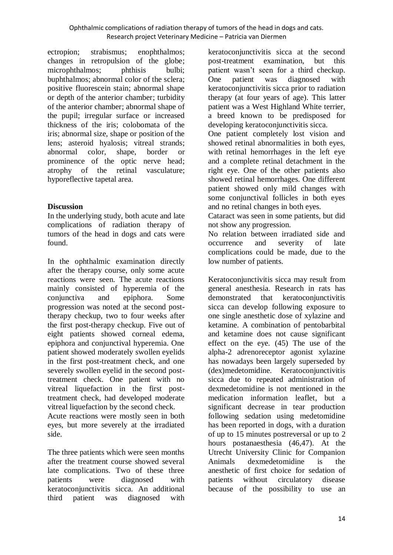ectropion; strabismus; enophthalmos; changes in retropulsion of the globe; microphthalmos: phthisis bulbi: buphthalmos; abnormal color of the sclera; positive fluorescein stain; abnormal shape or depth of the anterior chamber; turbidity of the anterior chamber; abnormal shape of the pupil; irregular surface or increased thickness of the iris; colobomata of the iris; abnormal size, shape or position of the lens; asteroid hyalosis; vitreal strands; abnormal color, shape, border or prominence of the optic nerve head; atrophy of the retinal vasculature; hyporeflective tapetal area.

# **Discussion**

In the underlying study, both acute and late complications of radiation therapy of tumors of the head in dogs and cats were found.

In the ophthalmic examination directly after the therapy course, only some acute reactions were seen. The acute reactions mainly consisted of hyperemia of the conjunctiva and epiphora. Some progression was noted at the second posttherapy checkup, two to four weeks after the first post-therapy checkup. Five out of eight patients showed corneal edema, epiphora and conjunctival hyperemia. One patient showed moderately swollen eyelids in the first post-treatment check, and one severely swollen eyelid in the second posttreatment check. One patient with no vitreal liquefaction in the first posttreatment check, had developed moderate vitreal liquefaction by the second check. Acute reactions were mostly seen in both

eyes, but more severely at the irradiated side.

The three patients which were seen months after the treatment course showed several late complications. Two of these three patients were diagnosed with keratoconjunctivitis sicca. An additional third patient was diagnosed with

keratoconjunctivitis sicca at the second post-treatment examination, but this patient wasn't seen for a third checkup. One patient was diagnosed with keratoconjunctivitis sicca prior to radiation therapy (at four years of age). This latter patient was a West Highland White terrier, a breed known to be predisposed for developing keratoconjunctivitis sicca.

One patient completely lost vision and showed retinal abnormalities in both eyes, with retinal hemorrhages in the left eye and a complete retinal detachment in the right eye. One of the other patients also showed retinal hemorrhages. One different patient showed only mild changes with some conjunctival follicles in both eyes and no retinal changes in both eyes.

Cataract was seen in some patients, but did not show any progression.

No relation between irradiated side and occurrence and severity of late complications could be made, due to the low number of patients.

Keratoconjunctivitis sicca may result from general anesthesia. Research in rats has demonstrated that keratoconjunctivitis sicca can develop following exposure to one single anesthetic dose of xylazine and ketamine. A combination of pentobarbital and ketamine does not cause significant effect on the eye. (45) The use of the alpha-2 adrenoreceptor agonist xylazine has nowadays been largely superseded by (dex)medetomidine. Keratoconjunctivitis sicca due to repeated administration of dexmedetomidine is not mentioned in the medication information leaflet, but a significant decrease in tear production following sedation using medetomidine has been reported in dogs, with a duration of up to 15 minutes postreversal or up to 2 hours postanaesthesia (46,47). At the Utrecht University Clinic for Companion Animals dexmedetomidine is the anesthetic of first choice for sedation of patients without circulatory disease because of the possibility to use an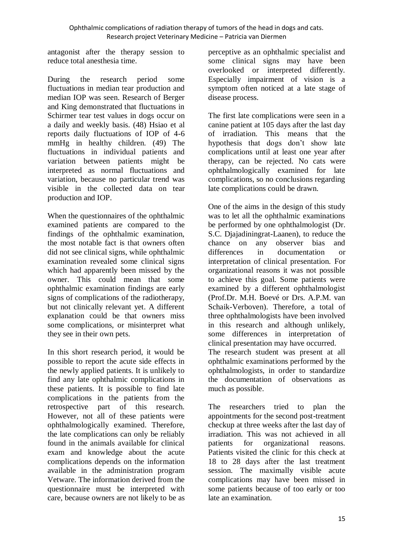antagonist after the therapy session to reduce total anesthesia time.

During the research period some fluctuations in median tear production and median IOP was seen. Research of Berger and King demonstrated that fluctuations in Schirmer tear test values in dogs occur on a daily and weekly basis. (48) Hsiao et al reports daily fluctuations of IOP of 4-6 mmHg in healthy children. (49) The fluctuations in individual patients and variation between patients might be interpreted as normal fluctuations and variation, because no particular trend was visible in the collected data on tear production and IOP.

When the questionnaires of the ophthalmic examined patients are compared to the findings of the ophthalmic examination, the most notable fact is that owners often did not see clinical signs, while ophthalmic examination revealed some clinical signs which had apparently been missed by the owner. This could mean that some ophthalmic examination findings are early signs of complications of the radiotherapy, but not clinically relevant yet. A different explanation could be that owners miss some complications, or misinterpret what they see in their own pets.

In this short research period, it would be possible to report the acute side effects in the newly applied patients. It is unlikely to find any late ophthalmic complications in these patients. It is possible to find late complications in the patients from the retrospective part of this research. However, not all of these patients were ophthalmologically examined. Therefore, the late complications can only be reliably found in the animals available for clinical exam and knowledge about the acute complications depends on the information available in the administration program Vetware. The information derived from the questionnaire must be interpreted with care, because owners are not likely to be as perceptive as an ophthalmic specialist and some clinical signs may have been overlooked or interpreted differently. Especially impairment of vision is a symptom often noticed at a late stage of disease process.

The first late complications were seen in a canine patient at 105 days after the last day of irradiation. This means that the hypothesis that dogs don't show late complications until at least one year after therapy, can be rejected. No cats were ophthalmologically examined for late complications, so no conclusions regarding late complications could be drawn.

One of the aims in the design of this study was to let all the ophthalmic examinations be performed by one ophthalmologist (Dr. S.C. Djajadiningrat-Laanen), to reduce the chance on any observer bias and differences in documentation or interpretation of clinical presentation. For organizational reasons it was not possible to achieve this goal. Some patients were examined by a different ophthalmologist (Prof.Dr. M.H. Boevé or Drs. A.P.M. van Schaik-Verboven). Therefore, a total of three ophthalmologists have been involved in this research and although unlikely, some differences in interpretation of clinical presentation may have occurred. The research student was present at all ophthalmic examinations performed by the ophthalmologists, in order to standardize the documentation of observations as much as possible.

The researchers tried to plan the appointments for the second post-treatment checkup at three weeks after the last day of irradiation. This was not achieved in all patients for organizational reasons. Patients visited the clinic for this check at 18 to 28 days after the last treatment session. The maximally visible acute complications may have been missed in some patients because of too early or too late an examination.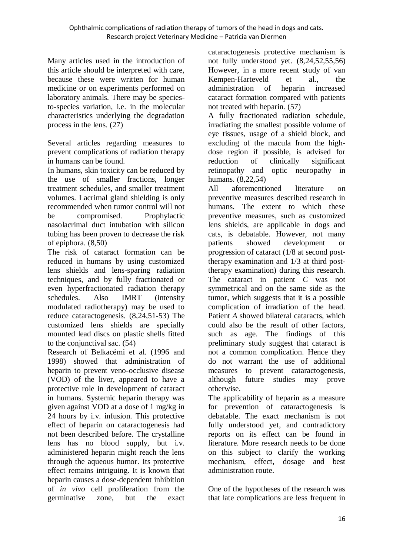Many articles used in the introduction of this article should be interpreted with care, because these were written for human medicine or on experiments performed on laboratory animals. There may be speciesto-species variation, i.e. in the molecular characteristics underlying the degradation process in the lens. (27)

Several articles regarding measures to prevent complications of radiation therapy in humans can be found.

In humans, skin toxicity can be reduced by the use of smaller fractions, longer treatment schedules, and smaller treatment volumes. Lacrimal gland shielding is only recommended when tumor control will not be compromised. Prophylactic nasolacrimal duct intubation with silicon tubing has been proven to decrease the risk of epiphora. (8,50)

The risk of cataract formation can be reduced in humans by using customized lens shields and lens-sparing radiation techniques, and by fully fractionated or even hyperfractionated radiation therapy schedules. Also IMRT (intensity modulated radiotherapy) may be used to reduce cataractogenesis. (8,24,51-53) The customized lens shields are specially mounted lead discs on plastic shells fitted to the conjunctival sac. (54)

Research of Belkacémi et al. (1996 and 1998) showed that administration of heparin to prevent veno-occlusive disease (VOD) of the liver, appeared to have a protective role in development of cataract in humans. Systemic heparin therapy was given against VOD at a dose of 1 mg/kg in 24 hours by i.v. infusion. This protective effect of heparin on cataractogenesis had not been described before. The crystalline lens has no blood supply, but i.v. administered heparin might reach the lens through the aqueous humor. Its protective effect remains intriguing. It is known that heparin causes a dose-dependent inhibition of *in vivo* cell proliferation from the germinative zone, but the exact cataractogenesis protective mechanism is not fully understood yet. (8,24,52,55,56) However, in a more recent study of van Kempen-Harteveld et al., the administration of heparin increased cataract formation compared with patients not treated with heparin. (57)

A fully fractionated radiation schedule, irradiating the smallest possible volume of eye tissues, usage of a shield block, and excluding of the macula from the highdose region if possible, is advised for reduction of clinically significant retinopathy and optic neuropathy in humans. (8,22,54)

All aforementioned literature on preventive measures described research in humans. The extent to which these preventive measures, such as customized lens shields, are applicable in dogs and cats, is debatable. However, not many patients showed development or progression of cataract (1/8 at second posttherapy examination and 1/3 at third posttherapy examination) during this research. The cataract in patient *C* was not symmetrical and on the same side as the tumor, which suggests that it is a possible complication of irradiation of the head. Patient *A* showed bilateral cataracts, which could also be the result of other factors, such as age. The findings of this preliminary study suggest that cataract is not a common complication. Hence they do not warrant the use of additional measures to prevent cataractogenesis, although future studies may prove otherwise.

The applicability of heparin as a measure for prevention of cataractogenesis is debatable. The exact mechanism is not fully understood yet, and contradictory reports on its effect can be found in literature. More research needs to be done on this subject to clarify the working mechanism, effect, dosage and best administration route.

One of the hypotheses of the research was that late complications are less frequent in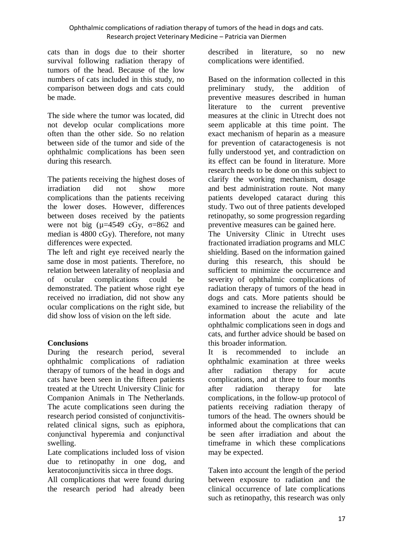cats than in dogs due to their shorter survival following radiation therapy of tumors of the head. Because of the low numbers of cats included in this study, no comparison between dogs and cats could be made.

The side where the tumor was located, did not develop ocular complications more often than the other side. So no relation between side of the tumor and side of the ophthalmic complications has been seen during this research.

The patients receiving the highest doses of irradiation did not show more complications than the patients receiving the lower doses. However, differences between doses received by the patients were not big  $(\mu=4549 \text{ cGy}, \sigma=862 \text{ and})$ median is 4800 cGy). Therefore, not many differences were expected.

The left and right eye received nearly the same dose in most patients. Therefore, no relation between laterality of neoplasia and of ocular complications could be demonstrated. The patient whose right eye received no irradiation, did not show any ocular complications on the right side, but did show loss of vision on the left side.

#### **Conclusions**

During the research period, several ophthalmic complications of radiation therapy of tumors of the head in dogs and cats have been seen in the fifteen patients treated at the Utrecht University Clinic for Companion Animals in The Netherlands. The acute complications seen during the research period consisted of conjunctivitisrelated clinical signs, such as epiphora, conjunctival hyperemia and conjunctival swelling.

Late complications included loss of vision due to retinopathy in one dog, and keratoconjunctivitis sicca in three dogs.

All complications that were found during the research period had already been described in literature, so no new complications were identified.

Based on the information collected in this preliminary study, the addition of preventive measures described in human literature to the current preventive measures at the clinic in Utrecht does not seem applicable at this time point. The exact mechanism of heparin as a measure for prevention of cataractogenesis is not fully understood yet, and contradiction on its effect can be found in literature. More research needs to be done on this subject to clarify the working mechanism, dosage and best administration route. Not many patients developed cataract during this study. Two out of three patients developed retinopathy, so some progression regarding preventive measures can be gained here.

The University Clinic in Utrecht uses fractionated irradiation programs and MLC shielding. Based on the information gained during this research, this should be sufficient to minimize the occurrence and severity of ophthalmic complications of radiation therapy of tumors of the head in dogs and cats. More patients should be examined to increase the reliability of the information about the acute and late ophthalmic complications seen in dogs and cats, and further advice should be based on this broader information.

It is recommended to include an ophthalmic examination at three weeks after radiation therapy for acute complications, and at three to four months after radiation therapy for late complications, in the follow-up protocol of patients receiving radiation therapy of tumors of the head. The owners should be informed about the complications that can be seen after irradiation and about the timeframe in which these complications may be expected.

Taken into account the length of the period between exposure to radiation and the clinical occurrence of late complications such as retinopathy, this research was only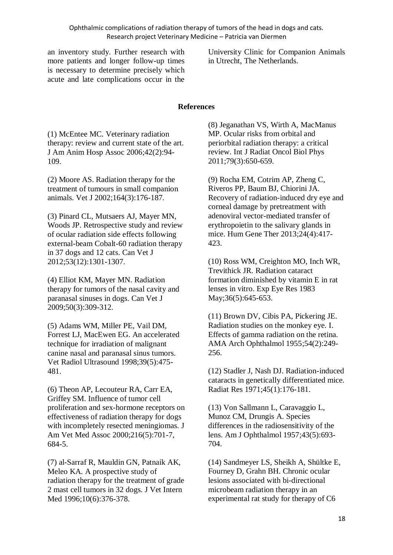an inventory study. Further research with more patients and longer follow-up times is necessary to determine precisely which acute and late complications occur in the

University Clinic for Companion Animals in Utrecht, The Netherlands.

#### **References**

(1) McEntee MC. Veterinary radiation therapy: review and current state of the art. J Am Anim Hosp Assoc 2006;42(2):94- 109.

(2) Moore AS. Radiation therapy for the treatment of tumours in small companion animals. Vet J 2002;164(3):176-187.

(3) Pinard CL, Mutsaers AJ, Mayer MN, Woods JP. Retrospective study and review of ocular radiation side effects following external-beam Cobalt-60 radiation therapy in 37 dogs and 12 cats. Can Vet J 2012;53(12):1301-1307.

(4) Elliot KM, Mayer MN. Radiation therapy for tumors of the nasal cavity and paranasal sinuses in dogs. Can Vet J 2009;50(3):309-312.

(5) Adams WM, Miller PE, Vail DM, Forrest LJ, MacEwen EG. An accelerated technique for irradiation of malignant canine nasal and paranasal sinus tumors. Vet Radiol Ultrasound 1998;39(5):475- 481.

(6) Theon AP, Lecouteur RA, Carr EA, Griffey SM. Influence of tumor cell proliferation and sex-hormone receptors on effectiveness of radiation therapy for dogs with incompletely resected meningiomas. J Am Vet Med Assoc 2000;216(5):701-7, 684-5.

(7) al-Sarraf R, Mauldin GN, Patnaik AK, Meleo KA. A prospective study of radiation therapy for the treatment of grade 2 mast cell tumors in 32 dogs. J Vet Intern Med 1996;10(6):376-378.

(8) Jeganathan VS, Wirth A, MacManus MP. Ocular risks from orbital and periorbital radiation therapy: a critical review. Int J Radiat Oncol Biol Phys 2011;79(3):650-659.

(9) Rocha EM, Cotrim AP, Zheng C, Riveros PP, Baum BJ, Chiorini JA. Recovery of radiation-induced dry eye and corneal damage by pretreatment with adenoviral vector-mediated transfer of erythropoietin to the salivary glands in mice. Hum Gene Ther 2013;24(4):417- 423.

(10) Ross WM, Creighton MO, Inch WR, Trevithick JR. Radiation cataract formation diminished by vitamin E in rat lenses in vitro. Exp Eye Res 1983 May; 36(5): 645-653.

(11) Brown DV, Cibis PA, Pickering JE. Radiation studies on the monkey eye. I. Effects of gamma radiation on the retina. AMA Arch Ophthalmol 1955;54(2):249- 256.

(12) Stadler J, Nash DJ. Radiation-induced cataracts in genetically differentiated mice. Radiat Res 1971;45(1):176-181.

(13) Von Sallmann L, Caravaggio L, Munoz CM, Drungis A. Species differences in the radiosensitivity of the lens. Am J Ophthalmol 1957;43(5):693- 704.

(14) Sandmeyer LS, Sheikh A, Shültke E, Fourney D, Grahn BH. Chronic ocular lesions associated with bi-directional microbeam radiation therapy in an experimental rat study for therapy of C6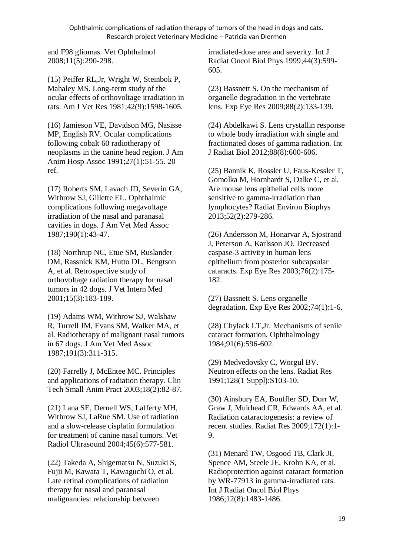and F98 gliomas. Vet Ophthalmol 2008;11(5):290-298.

(15) Peiffer RL,Jr, Wright W, Steinbok P, Mahaley MS. Long-term study of the ocular effects of orthovoltage irradiation in rats. Am J Vet Res 1981;42(9):1598-1605.

(16) Jamieson VE, Davidson MG, Nasisse MP, English RV. Ocular complications following cobalt 60 radiotherapy of neoplasms in the canine head region. J Am Anim Hosp Assoc 1991;27(1):51-55. 20 ref.

(17) Roberts SM, Lavach JD, Severin GA, Withrow SJ, Gillette EL. Ophthalmic complications following megavoltage irradiation of the nasal and paranasal cavities in dogs. J Am Vet Med Assoc 1987;190(1):43-47.

(18) Northrup NC, Etue SM, Ruslander DM, Rassnick KM, Hutto DL, Bengtson A, et al. Retrospective study of orthovoltage radiation therapy for nasal tumors in 42 dogs. J Vet Intern Med 2001;15(3):183-189.

(19) Adams WM, Withrow SJ, Walshaw R, Turrell JM, Evans SM, Walker MA, et al. Radiotherapy of malignant nasal tumors in 67 dogs. J Am Vet Med Assoc 1987;191(3):311-315.

(20) Farrelly J, McEntee MC. Principles and applications of radiation therapy. Clin Tech Small Anim Pract 2003;18(2):82-87.

(21) Lana SE, Dernell WS, Lafferty MH, Withrow SJ, LaRue SM. Use of radiation and a slow-release cisplatin formulation for treatment of canine nasal tumors. Vet Radiol Ultrasound 2004;45(6):577-581.

(22) Takeda A, Shigematsu N, Suzuki S, Fujii M, Kawata T, Kawaguchi O, et al. Late retinal complications of radiation therapy for nasal and paranasal malignancies: relationship between

irradiated-dose area and severity. Int J Radiat Oncol Biol Phys 1999;44(3):599- 605.

(23) Bassnett S. On the mechanism of organelle degradation in the vertebrate lens. Exp Eye Res 2009;88(2):133-139.

(24) Abdelkawi S. Lens crystallin response to whole body irradiation with single and fractionated doses of gamma radiation. Int J Radiat Biol 2012;88(8):600-606.

(25) Bannik K, Rossler U, Faus-Kessler T, Gomolka M, Hornhardt S, Dalke C, et al. Are mouse lens epithelial cells more sensitive to gamma-irradiation than lymphocytes? Radiat Environ Biophys 2013;52(2):279-286.

(26) Andersson M, Honarvar A, Sjostrand J, Peterson A, Karlsson JO. Decreased caspase-3 activity in human lens epithelium from posterior subcapsular cataracts. Exp Eye Res 2003;76(2):175- 182.

(27) Bassnett S. Lens organelle degradation. Exp Eye Res 2002;74(1):1-6.

(28) Chylack LT,Jr. Mechanisms of senile cataract formation. Ophthalmology 1984;91(6):596-602.

(29) Medvedovsky C, Worgul BV. Neutron effects on the lens. Radiat Res 1991;128(1 Suppl):S103-10.

(30) Ainsbury EA, Bouffler SD, Dorr W, Graw J, Muirhead CR, Edwards AA, et al. Radiation cataractogenesis: a review of recent studies. Radiat Res 2009;172(1):1- 9.

(31) Menard TW, Osgood TB, Clark JI, Spence AM, Steele JE, Krohn KA, et al. Radioprotection against cataract formation by WR-77913 in gamma-irradiated rats. Int J Radiat Oncol Biol Phys 1986;12(8):1483-1486.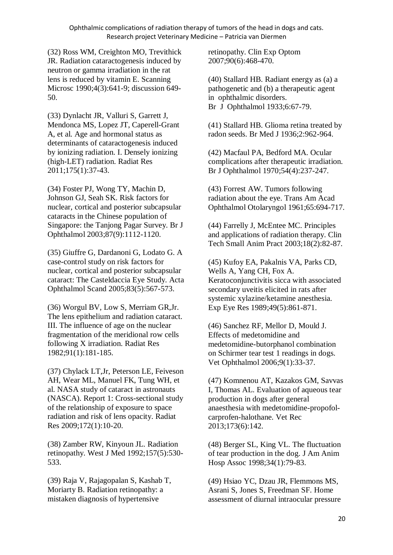(32) Ross WM, Creighton MO, Trevithick JR. Radiation cataractogenesis induced by neutron or gamma irradiation in the rat lens is reduced by vitamin E. Scanning Microsc 1990;4(3):641-9; discussion 649- 50.

(33) Dynlacht JR, Valluri S, Garrett J, Mendonca MS, Lopez JT, Caperell-Grant A, et al. Age and hormonal status as determinants of cataractogenesis induced by ionizing radiation. I. Densely ionizing (high-LET) radiation. Radiat Res 2011;175(1):37-43.

(34) Foster PJ, Wong TY, Machin D, Johnson GJ, Seah SK. Risk factors for nuclear, cortical and posterior subcapsular cataracts in the Chinese population of Singapore: the Tanjong Pagar Survey. Br J Ophthalmol 2003;87(9):1112-1120.

(35) Giuffre G, Dardanoni G, Lodato G. A case-control study on risk factors for nuclear, cortical and posterior subcapsular cataract: The Casteldaccia Eye Study. Acta Ophthalmol Scand 2005;83(5):567-573.

(36) Worgul BV, Low S, Merriam GR,Jr. The lens epithelium and radiation cataract. III. The influence of age on the nuclear fragmentation of the meridional row cells following X irradiation. Radiat Res 1982;91(1):181-185.

(37) Chylack LT,Jr, Peterson LE, Feiveson AH, Wear ML, Manuel FK, Tung WH, et al. NASA study of cataract in astronauts (NASCA). Report 1: Cross-sectional study of the relationship of exposure to space radiation and risk of lens opacity. Radiat Res 2009;172(1):10-20.

(38) Zamber RW, Kinyoun JL. Radiation retinopathy. West J Med 1992;157(5):530- 533.

(39) Raja V, Rajagopalan S, Kashab T, Moriarty B. Radiation retinopathy: a mistaken diagnosis of hypertensive

retinopathy. Clin Exp Optom 2007;90(6):468-470.

(40) Stallard HB. Radiant energy as (a) a pathogenetic and (b) a therapeutic agent in ophthalmic disorders. Br J Ophthalmol 1933;6:67-79.

(41) Stallard HB. Glioma retina treated by radon seeds. Br Med J 1936;2:962-964.

(42) Macfaul PA, Bedford MA. Ocular complications after therapeutic irradiation. Br J Ophthalmol 1970;54(4):237-247.

(43) Forrest AW. Tumors following radiation about the eye. Trans Am Acad Ophthalmol Otolaryngol 1961;65:694-717.

(44) Farrelly J, McEntee MC. Principles and applications of radiation therapy. Clin Tech Small Anim Pract 2003;18(2):82-87.

(45) Kufoy EA, Pakalnis VA, Parks CD, Wells A, Yang CH, Fox A. Keratoconjunctivitis sicca with associated secondary uveitis elicited in rats after systemic xylazine/ketamine anesthesia. Exp Eye Res 1989;49(5):861-871.

(46) Sanchez RF, Mellor D, Mould J. Effects of medetomidine and medetomidine-butorphanol combination on Schirmer tear test 1 readings in dogs. Vet Ophthalmol 2006;9(1):33-37.

(47) Komnenou AT, Kazakos GM, Savvas I, Thomas AL. Evaluation of aqueous tear production in dogs after general anaesthesia with medetomidine-propofolcarprofen-halothane. Vet Rec 2013;173(6):142.

(48) Berger SL, King VL. The fluctuation of tear production in the dog. J Am Anim Hosp Assoc 1998;34(1):79-83.

(49) Hsiao YC, Dzau JR, Flemmons MS, Asrani S, Jones S, Freedman SF. Home assessment of diurnal intraocular pressure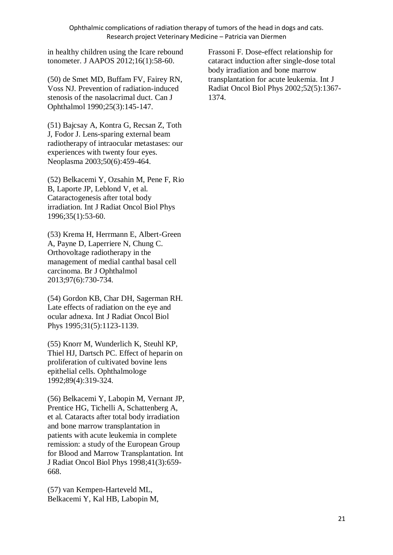in healthy children using the Icare rebound tonometer. J AAPOS 2012;16(1):58-60.

(50) de Smet MD, Buffam FV, Fairey RN, Voss NJ. Prevention of radiation-induced stenosis of the nasolacrimal duct. Can J Ophthalmol 1990;25(3):145-147.

(51) Bajcsay A, Kontra G, Recsan Z, Toth J, Fodor J. Lens-sparing external beam radiotherapy of intraocular metastases: our experiences with twenty four eyes. Neoplasma 2003;50(6):459-464.

(52) Belkacemi Y, Ozsahin M, Pene F, Rio B, Laporte JP, Leblond V, et al. Cataractogenesis after total body irradiation. Int J Radiat Oncol Biol Phys 1996;35(1):53-60.

(53) Krema H, Herrmann E, Albert-Green A, Payne D, Laperriere N, Chung C. Orthovoltage radiotherapy in the management of medial canthal basal cell carcinoma. Br J Ophthalmol 2013;97(6):730-734.

(54) Gordon KB, Char DH, Sagerman RH. Late effects of radiation on the eye and ocular adnexa. Int J Radiat Oncol Biol Phys 1995;31(5):1123-1139.

(55) Knorr M, Wunderlich K, Steuhl KP, Thiel HJ, Dartsch PC. Effect of heparin on proliferation of cultivated bovine lens epithelial cells. Ophthalmologe 1992;89(4):319-324.

(56) Belkacemi Y, Labopin M, Vernant JP, Prentice HG, Tichelli A, Schattenberg A, et al. Cataracts after total body irradiation and bone marrow transplantation in patients with acute leukemia in complete remission: a study of the European Group for Blood and Marrow Transplantation. Int J Radiat Oncol Biol Phys 1998;41(3):659- 668.

(57) van Kempen-Harteveld ML, Belkacemi Y, Kal HB, Labopin M, Frassoni F. Dose-effect relationship for cataract induction after single-dose total body irradiation and bone marrow transplantation for acute leukemia. Int J Radiat Oncol Biol Phys 2002;52(5):1367- 1374.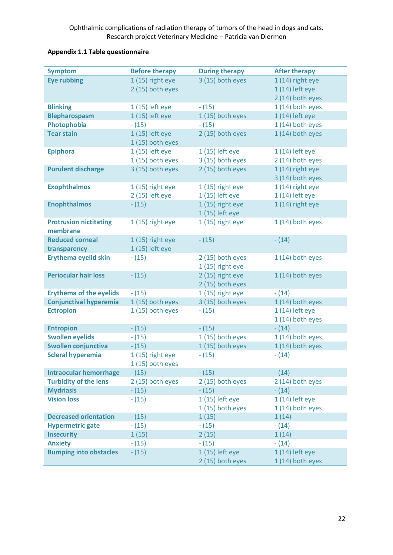| <b>Appendix 1.1 Table questionnaire</b> |  |
|-----------------------------------------|--|
|-----------------------------------------|--|

| <b>Symptom</b>                            | <b>Before therapy</b>                | <b>During therapy</b> | <b>After therapy</b>                  |
|-------------------------------------------|--------------------------------------|-----------------------|---------------------------------------|
| <b>Eye rubbing</b>                        | 1 (15) right eye                     | 3 (15) both eyes      | 1 (14) right eye                      |
|                                           | 2 (15) both eyes                     |                       | 1 (14) left eye                       |
|                                           |                                      |                       | 2 (14) both eyes                      |
| <b>Blinking</b>                           | 1 (15) left eye                      | $- (15)$              | 1 (14) both eyes                      |
| <b>Blepharospasm</b>                      | 1 (15) left eye                      | 1 (15) both eyes      | 1 (14) left eye                       |
| Photophobia                               | $- (15)$                             | $- (15)$              | 1 (14) both eyes                      |
| <b>Tear stain</b>                         | 1 (15) left eye<br>$1(15)$ both eyes | 2 (15) both eyes      | 1 (14) both eyes                      |
| <b>Epiphora</b>                           | 1 (15) left eye                      | 1 (15) left eye       | 1 (14) left eye                       |
|                                           | 1 (15) both eyes                     | 3 (15) both eyes      | 2 (14) both eyes                      |
| <b>Purulent discharge</b>                 | 3 (15) both eyes                     | 2 (15) both eyes      | $1(14)$ right eye<br>3 (14) both eyes |
| <b>Exophthalmos</b>                       | 1 (15) right eye                     | 1 (15) right eye      | $1(14)$ right eye                     |
|                                           | 2 (15) left eye                      | 1 (15) left eye       | 1 (14) left eye                       |
| <b>Enophthalmos</b>                       | $- (15)$                             | 1 (15) right eye      | $1(14)$ right eye                     |
|                                           |                                      | 1 (15) left eye       |                                       |
| <b>Protrusion nictitating</b><br>membrane | 1 (15) right eye                     | 1 (15) right eye      | 1 (14) both eyes                      |
| <b>Reduced corneal</b>                    | 1 (15) right eye                     | $- (15)$              | $- (14)$                              |
| transparency                              | 1 (15) left eye                      |                       |                                       |
| <b>Erythema eyelid skin</b>               | $- (15)$                             | 2 (15) both eyes      | 1 (14) both eyes                      |
|                                           |                                      | 1 (15) right eye      |                                       |
| <b>Periocular hair loss</b>               | $- (15)$                             | 2 (15) right eye      | $1(14)$ both eyes                     |
|                                           |                                      | 2 (15) both eyes      |                                       |
| <b>Erythema of the eyelids</b>            | $- (15)$                             | $1(15)$ right eye     | $- (14)$                              |
| <b>Conjunctival hyperemia</b>             | 1 (15) both eyes                     | 3 (15) both eyes      | 1 (14) both eyes                      |
| <b>Ectropion</b>                          | $1(15)$ both eyes                    | $- (15)$              | 1 (14) left eye                       |
|                                           |                                      |                       | 1 (14) both eyes                      |
| <b>Entropion</b>                          | $- (15)$                             | $- (15)$              | $- (14)$                              |
| <b>Swollen eyelids</b>                    | $- (15)$                             | 1 (15) both eyes      | 1 (14) both eyes                      |
| Swollen conjunctiva                       | $- (15)$                             | 1 (15) both eyes      | 1 (14) both eyes                      |
| <b>Scleral hyperemia</b>                  | 1 (15) right eye                     | $- (15)$              | $- (14)$                              |
|                                           | $1(15)$ both eyes                    |                       |                                       |
| <b>Intraocular hemorrhage</b>             | $- (15)$                             | $- (15)$              | $- (14)$                              |
| <b>Turbidity of the lens</b>              | 2 (15) both eyes                     | 2 (15) both eyes      | 2 (14) both eyes                      |
| <b>Mydriasis</b>                          | $- (15)$                             | $- (15)$              | $- (14)$                              |
| <b>Vision loss</b>                        | $- (15)$                             | 1 (15) left eye       | 1 (14) left eye                       |
|                                           |                                      | 1 (15) both eyes      | 1 (14) both eyes                      |
| <b>Decreased orientation</b>              | $- (15)$                             | 1(15)                 | 1(14)                                 |
| <b>Hypermetric gate</b>                   | $- (15)$                             | $- (15)$              | $- (14)$                              |
| <b>Insecurity</b>                         | 1(15)                                | 2(15)                 | 1(14)                                 |
| <b>Anxiety</b>                            | $- (15)$                             | $- (15)$              | $- (14)$                              |
| <b>Bumping into obstacles</b>             | $- (15)$                             | 1 (15) left eye       | 1 (14) left eye                       |
|                                           |                                      | 2 (15) both eyes      | 1 (14) both eyes                      |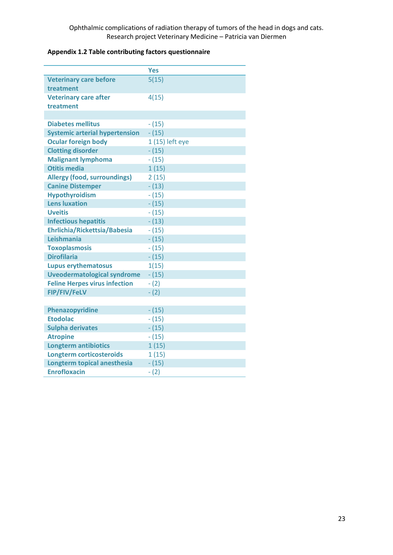# **Appendix 1.2 Table contributing factors questionnaire**

|                                       | <b>Yes</b>      |
|---------------------------------------|-----------------|
| <b>Veterinary care before</b>         | 5(15)           |
| treatment                             |                 |
| <b>Veterinary care after</b>          | 4(15)           |
| treatment                             |                 |
|                                       |                 |
| <b>Diabetes mellitus</b>              | $- (15)$        |
| <b>Systemic arterial hypertension</b> | $- (15)$        |
| <b>Ocular foreign body</b>            | 1 (15) left eye |
| <b>Clotting disorder</b>              | $- (15)$        |
| <b>Malignant lymphoma</b>             | $- (15)$        |
| <b>Otitis media</b>                   | 1(15)           |
| <b>Allergy (food, surroundings)</b>   | 2(15)           |
| <b>Canine Distemper</b>               | $- (13)$        |
| <b>Hypothyroidism</b>                 | $- (15)$        |
| <b>Lens luxation</b>                  | $- (15)$        |
| <b>Uveitis</b>                        | $- (15)$        |
| <b>Infectious hepatitis</b>           | $- (13)$        |
| Ehrlichia/Rickettsia/Babesia          | $- (15)$        |
| Leishmania                            | $- (15)$        |
| <b>Toxoplasmosis</b>                  | $- (15)$        |
| <b>Dirofilaria</b>                    | $-(15)$         |
| <b>Lupus erythematosus</b>            | 1(15)           |
| <b>Uveodermatological syndrome</b>    | $- (15)$        |
| <b>Feline Herpes virus infection</b>  | $- (2)$         |
| <b>FIP/FIV/FeLV</b>                   | $- (2)$         |
|                                       |                 |
| Phenazopyridine                       | $- (15)$        |
| <b>Etodolac</b>                       | $- (15)$        |
| <b>Sulpha derivates</b>               | $- (15)$        |
| <b>Atropine</b>                       | $- (15)$        |
| <b>Longterm antibiotics</b>           | 1(15)           |
| <b>Longterm corticosteroids</b>       | 1(15)           |
| Longterm topical anesthesia           | $- (15)$        |
| <b>Enrofloxacin</b>                   | $-(2)$          |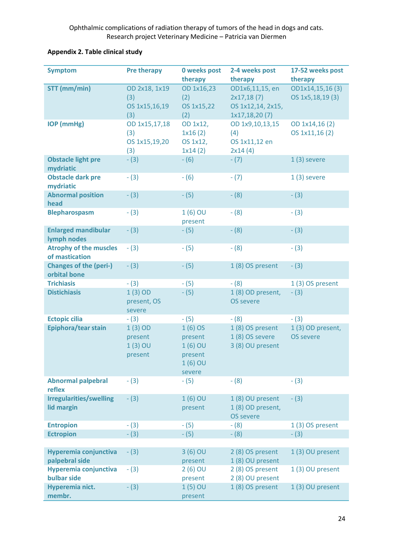# **Appendix 2. Table clinical study**

| <b>Symptom</b>                                  | <b>Pre therapy</b>                           | <b>0 weeks post</b><br>therapy                                      | 2-4 weeks post<br>therapy                                           | 17-52 weeks post<br>therapy          |
|-------------------------------------------------|----------------------------------------------|---------------------------------------------------------------------|---------------------------------------------------------------------|--------------------------------------|
| STT (mm/min)                                    | OD 2x18, 1x19<br>(3)<br>OS 1x15,16,19<br>(3) | OD 1x16,23<br>(2)<br>OS 1x15,22<br>(2)                              | OD1x6,11,15, en<br>2x17,18(7)<br>OS 1x12,14, 2x15,<br>1x17,18,20(7) | OD1x14,15,16(3)<br>OS 1x5, 18, 19(3) |
| <b>IOP</b> (mmHg)                               | OD 1x15,17,18<br>(3)<br>OS 1x15,19,20<br>(3) | OD 1x12,<br>1x16(2)<br>OS 1x12,<br>1x14(2)                          | OD 1x9,10,13,15<br>(4)<br>OS 1x11,12 en<br>2x14(4)                  | OD 1x14,16(2)<br>OS 1x11,16(2)       |
| <b>Obstacle light pre</b><br>mydriatic          | $- (3)$                                      | $-(6)$                                                              | $- (7)$                                                             | $1(3)$ severe                        |
| <b>Obstacle dark pre</b><br>mydriatic           | $- (3)$                                      | $-(6)$                                                              | $- (7)$                                                             | $1(3)$ severe                        |
| <b>Abnormal position</b><br>head                | $-(3)$                                       | $-(5)$                                                              | $- (8)$                                                             | $-(3)$                               |
| <b>Blepharospasm</b>                            | $- (3)$                                      | $1(6)$ OU<br>present                                                | $- (8)$                                                             | $- (3)$                              |
| <b>Enlarged mandibular</b><br>lymph nodes       | $- (3)$                                      | $- (5)$                                                             | $- (8)$                                                             | $- (3)$                              |
| <b>Atrophy of the muscles</b><br>of mastication | $-(3)$                                       | $- (5)$                                                             | $- (8)$                                                             | $- (3)$                              |
| <b>Changes of the (peri-)</b><br>orbital bone   | $- (3)$                                      | $-(5)$                                                              | 1 (8) OS present                                                    | $-(3)$                               |
| <b>Trichiasis</b>                               | $-(3)$                                       | $-(5)$                                                              | $- (8)$                                                             | 1(3) OS present                      |
| <b>Distichiasis</b>                             | $1(3)$ OD<br>present, OS<br>severe           | $- (5)$                                                             | 1 (8) OD present,<br><b>OS severe</b>                               | $- (3)$                              |
| <b>Ectopic cilia</b>                            | $-(3)$                                       | $- (5)$                                                             | $- (8)$                                                             | $- (3)$                              |
| Epiphora/tear stain                             | $1(3)$ OD<br>present<br>$1(3)$ OU<br>present | $1(6)$ OS<br>present<br>$1(6)$ OU<br>present<br>$1(6)$ OU<br>severe | 1(8) OS present<br>1 (8) OS severe<br>3 (8) OU present              | 1(3) OD present,<br><b>OS severe</b> |
| <b>Abnormal palpebral</b><br>reflex             | $- (3)$                                      | $-(5)$                                                              | $- (8)$                                                             | $- (3)$                              |
| <b>Irregularities/swelling</b><br>lid margin    | $- (3)$                                      | $1(6)$ OU<br>present                                                | 1 (8) OU present<br>1 (8) OD present,<br><b>OS severe</b>           | $- (3)$                              |
| <b>Entropion</b>                                | $- (3)$                                      | $-(5)$                                                              | $- (8)$                                                             | 1(3) OS present                      |
| <b>Ectropion</b>                                | $- (3)$                                      | $- (5)$                                                             | $- (8)$                                                             | $- (3)$                              |
| Hyperemia conjunctiva<br>palpebral side         | $-(3)$                                       | $3(6)$ OU<br>present                                                | 2 (8) OS present<br>1 (8) OU present                                | 1(3) OU present                      |
| Hyperemia conjunctiva<br>bulbar side            | $-(3)$                                       | $2(6)$ OU<br>present                                                | 2 (8) OS present<br>2 (8) OU present                                | 1(3) OU present                      |
| Hyperemia nict.<br>membr.                       | $-(3)$                                       | $1(5)$ OU<br>present                                                | 1 (8) OS present                                                    | 1 (3) OU present                     |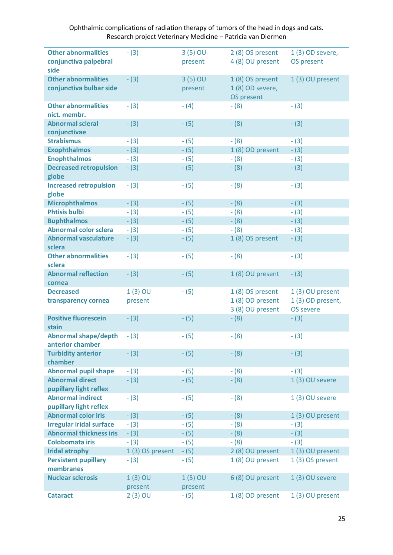| <b>Other abnormalities</b>      | $- (3)$         | $3(5)$ OU | 2 (8) OS present | 1 (3) OD severe, |
|---------------------------------|-----------------|-----------|------------------|------------------|
| conjunctiva palpebral           |                 | present   | 4 (8) OU present | OS present       |
|                                 |                 |           |                  |                  |
| side                            |                 |           |                  |                  |
| <b>Other abnormalities</b>      | $- (3)$         | 3 (5) OU  | 1 (8) OS present | 1(3) OU present  |
| conjunctiva bulbar side         |                 | present   | 1 (8) OD severe, |                  |
|                                 |                 |           | OS present       |                  |
| <b>Other abnormalities</b>      | $- (3)$         | $- (4)$   | $- (8)$          | $- (3)$          |
| nict. membr.                    |                 |           |                  |                  |
| <b>Abnormal scleral</b>         | $- (3)$         | $- (5)$   | $- (8)$          | $-(3)$           |
| conjunctivae                    |                 |           |                  |                  |
| <b>Strabismus</b>               | $- (3)$         | $- (5)$   | $-(8)$           | $- (3)$          |
| <b>Exophthalmos</b>             | $- (3)$         | $- (5)$   | 1 (8) OD present | $- (3)$          |
| <b>Enophthalmos</b>             | $- (3)$         | $- (5)$   | $-(8)$           | $- (3)$          |
| <b>Decreased retropulsion</b>   | $-(3)$          | $-(5)$    | $-(8)$           | $- (3)$          |
| globe                           |                 |           |                  |                  |
| <b>Increased retropulsion</b>   | $- (3)$         | $- (5)$   | $-(8)$           | $-(3)$           |
| globe                           |                 |           |                  |                  |
| <b>Microphthalmos</b>           | $- (3)$         | $- (5)$   | $- (8)$          | $- (3)$          |
| <b>Phtisis bulbi</b>            | $- (3)$         | $- (5)$   | $- (8)$          | $-(3)$           |
| <b>Buphthalmos</b>              | $- (3)$         | $- (5)$   | $-(8)$           | $- (3)$          |
| <b>Abnormal color sclera</b>    | $- (3)$         | $- (5)$   | $-(8)$           | $- (3)$          |
| <b>Abnormal vasculature</b>     | $- (3)$         | $- (5)$   | 1(8) OS present  | $-(3)$           |
| sclera                          |                 |           |                  |                  |
| <b>Other abnormalities</b>      | $- (3)$         | $- (5)$   | $-(8)$           | $- (3)$          |
| sclera                          |                 |           |                  |                  |
| <b>Abnormal reflection</b>      | $- (3)$         | $- (5)$   | 1 (8) OU present | $- (3)$          |
| cornea                          |                 |           |                  |                  |
| <b>Decreased</b>                | $1(3)$ OU       | $-(5)$    | 1 (8) OS present | 1 (3) OU present |
| transparency cornea             | present         |           | 1 (8) OD present | 1(3) OD present, |
|                                 |                 |           | 3 (8) OU present | <b>OS severe</b> |
| <b>Positive fluorescein</b>     | $- (3)$         | $-(5)$    | $-(8)$           | $- (3)$          |
| stain                           |                 |           |                  |                  |
| <b>Abnormal shape/depth</b>     | $- (3)$         | $-(5)$    | $-(8)$           | $- (3)$          |
| anterior chamber                |                 |           |                  |                  |
| <b>Turbidity anterior</b>       | $-(3)$          | $-(5)$    | $-(8)$           | $- (3)$          |
| chamber                         |                 |           |                  |                  |
| <b>Abnormal pupil shape</b>     | $- (3)$         | $- (5)$   | $- (8)$          | $- (3)$          |
| <b>Abnormal direct</b>          | $- (3)$         | $- (5)$   | $- (8)$          | 1(3) OU severe   |
| pupillary light reflex          |                 |           |                  |                  |
| <b>Abnormal indirect</b>        | $- (3)$         | $-(5)$    | $-(8)$           | 1(3) OU severe   |
| pupillary light reflex          |                 |           |                  |                  |
| <b>Abnormal color iris</b>      | $- (3)$         | $- (5)$   | $-(8)$           | 1(3) OU present  |
| <b>Irregular iridal surface</b> | $- (3)$         | $- (5)$   | $- (8)$          | $- (3)$          |
| <b>Abnormal thickness iris</b>  | $- (3)$         | $- (5)$   | $- (8)$          | $- (3)$          |
| <b>Colobomata iris</b>          | $- (3)$         | $- (5)$   | $- (8)$          | $- (3)$          |
| <b>Iridal atrophy</b>           | 1(3) OS present | $-(5)$    | 2 (8) OU present | 1(3) OU present  |
| <b>Persistent pupillary</b>     | $-(3)$          | $-(5)$    | 1 (8) OU present | 1(3) OS present  |
| membranes                       |                 |           |                  |                  |
| <b>Nuclear sclerosis</b>        | $1(3)$ OU       | $1(5)$ OU | 6 (8) OU present | 1(3) OU severe   |
|                                 | present         | present   |                  |                  |
| <b>Cataract</b>                 | $2(3)$ OU       | - (5)     | 1 (8) OD present | 1(3) OU present  |